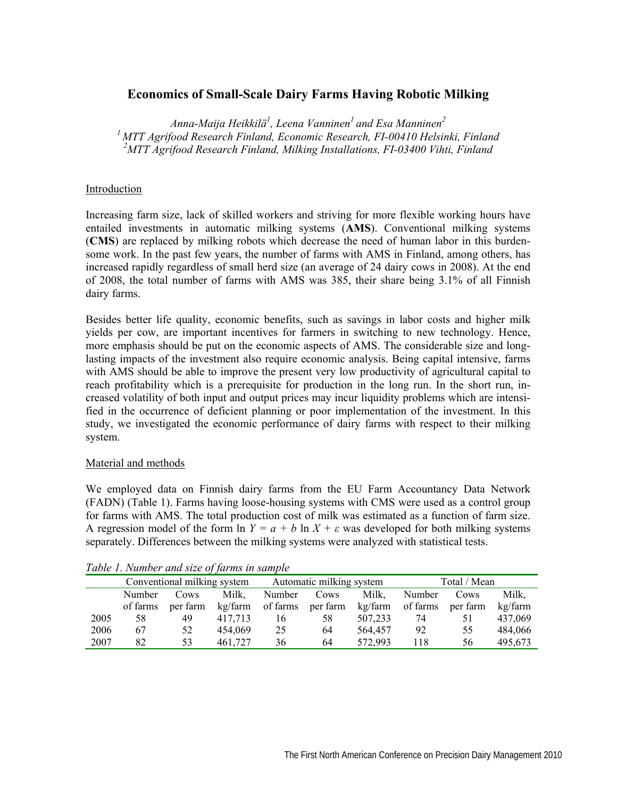# **Economics of Small-Scale Dairy Farms Having Robotic Milking**

*Anna-Maija Heikkilä1 , Leena Vanninen1 and Esa Manninen2 1 MTT Agrifood Research Finland, Economic Research, FI-00410 Helsinki, Finland 2 MTT Agrifood Research Finland, Milking Installations, FI-03400 Vihti, Finland*

#### Introduction

Increasing farm size, lack of skilled workers and striving for more flexible working hours have entailed investments in automatic milking systems (**AMS**). Conventional milking systems (**CMS**) are replaced by milking robots which decrease the need of human labor in this burdensome work. In the past few years, the number of farms with AMS in Finland, among others, has increased rapidly regardless of small herd size (an average of 24 dairy cows in 2008). At the end of 2008, the total number of farms with AMS was 385, their share being 3.1% of all Finnish dairy farms.

Besides better life quality, economic benefits, such as savings in labor costs and higher milk yields per cow, are important incentives for farmers in switching to new technology. Hence, more emphasis should be put on the economic aspects of AMS. The considerable size and longlasting impacts of the investment also require economic analysis. Being capital intensive, farms with AMS should be able to improve the present very low productivity of agricultural capital to reach profitability which is a prerequisite for production in the long run. In the short run, increased volatility of both input and output prices may incur liquidity problems which are intensified in the occurrence of deficient planning or poor implementation of the investment. In this study, we investigated the economic performance of dairy farms with respect to their milking system.

#### Material and methods

We employed data on Finnish dairy farms from the EU Farm Accountancy Data Network (FADN) (Table 1). Farms having loose-housing systems with CMS were used as a control group for farms with AMS. The total production cost of milk was estimated as a function of farm size. A regression model of the form ln  $Y = a + b \ln X + \varepsilon$  was developed for both milking systems separately. Differences between the milking systems were analyzed with statistical tests.

| Tuble 1. Trainber and size of farms in sample. |                             |          |         |                          |          |         |              |          |         |
|------------------------------------------------|-----------------------------|----------|---------|--------------------------|----------|---------|--------------|----------|---------|
|                                                | Conventional milking system |          |         | Automatic milking system |          |         | Total / Mean |          |         |
|                                                | Number                      | Cows     | Milk.   | Number                   | Cows     | Milk.   | Number       | Cows     | Milk.   |
|                                                | of farms                    | per farm | kg/farm | of farms                 | per farm | kg/farm | of farms     | per farm | kg/farm |
| 2005                                           | 58                          | 49       | 417,713 | 16                       | 58       | 507,233 | 74           | 51       | 437,069 |
| 2006                                           | 67                          | 52       | 454,069 | 25                       | 64       | 564,457 | 92           | 55       | 484,066 |
| 2007                                           | 82                          | 53       | 461.727 | 36                       | 64       | 572,993 | 118          | 56       | 495.673 |

*Table 1. Number and size of farms in sample*